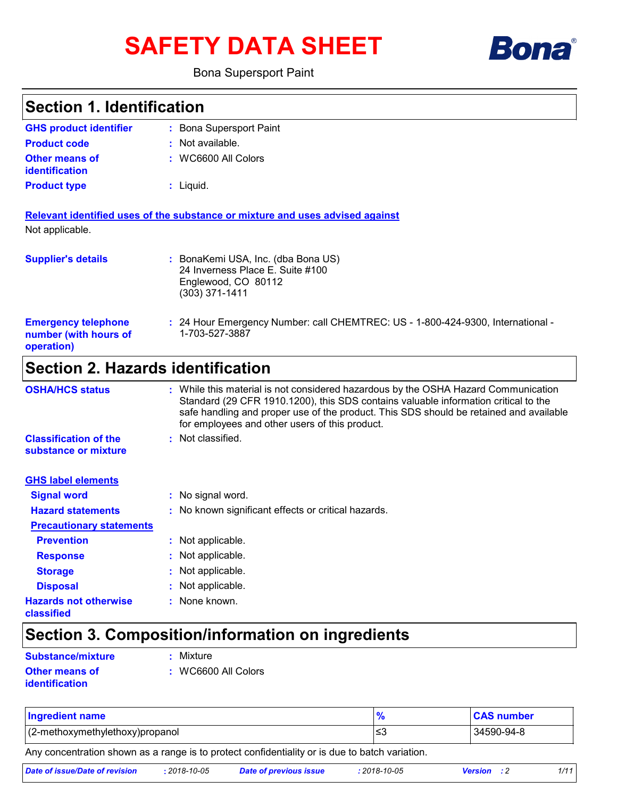# **SAFETY DATA SHEET**



### Bona Supersport Paint

| <b>Section 1. Identification</b>                                  |                                                                                                                                                                                                                                                                                                                       |  |
|-------------------------------------------------------------------|-----------------------------------------------------------------------------------------------------------------------------------------------------------------------------------------------------------------------------------------------------------------------------------------------------------------------|--|
| <b>GHS product identifier</b>                                     | : Bona Supersport Paint                                                                                                                                                                                                                                                                                               |  |
| <b>Product code</b>                                               | : Not available.                                                                                                                                                                                                                                                                                                      |  |
| <b>Other means of</b><br><b>identification</b>                    | : WC6600 All Colors                                                                                                                                                                                                                                                                                                   |  |
| <b>Product type</b>                                               | $:$ Liquid.                                                                                                                                                                                                                                                                                                           |  |
|                                                                   | Relevant identified uses of the substance or mixture and uses advised against                                                                                                                                                                                                                                         |  |
| Not applicable.                                                   |                                                                                                                                                                                                                                                                                                                       |  |
| <b>Supplier's details</b>                                         | : BonaKemi USA, Inc. (dba Bona US)<br>24 Inverness Place E. Suite #100<br>Englewood, CO 80112<br>$(303)$ 371-1411                                                                                                                                                                                                     |  |
| <b>Emergency telephone</b><br>number (with hours of<br>operation) | : 24 Hour Emergency Number: call CHEMTREC: US - 1-800-424-9300, International -<br>1-703-527-3887                                                                                                                                                                                                                     |  |
| <b>Section 2. Hazards identification</b>                          |                                                                                                                                                                                                                                                                                                                       |  |
| <b>OSHA/HCS status</b>                                            | : While this material is not considered hazardous by the OSHA Hazard Communication<br>Standard (29 CFR 1910.1200), this SDS contains valuable information critical to the<br>safe handling and proper use of the product. This SDS should be retained and available<br>for employees and other users of this product. |  |
| <b>Classification of the</b><br>substance or mixture              | : Not classified.                                                                                                                                                                                                                                                                                                     |  |
| <b>GHS label elements</b>                                         |                                                                                                                                                                                                                                                                                                                       |  |
| <b>Signal word</b>                                                | : No signal word.                                                                                                                                                                                                                                                                                                     |  |
| <b>Hazard statements</b>                                          | : No known significant effects or critical hazards.                                                                                                                                                                                                                                                                   |  |
| <b>Precautionary statements</b>                                   |                                                                                                                                                                                                                                                                                                                       |  |
| <b>Prevention</b>                                                 | : Not applicable.                                                                                                                                                                                                                                                                                                     |  |
| <b>Response</b>                                                   | Not applicable.                                                                                                                                                                                                                                                                                                       |  |
| <b>Storage</b>                                                    | Not applicable.                                                                                                                                                                                                                                                                                                       |  |
| <b>Disposal</b>                                                   | Not applicable.                                                                                                                                                                                                                                                                                                       |  |
| <b>Hazards not otherwise</b><br>classified                        | None known.                                                                                                                                                                                                                                                                                                           |  |

## **Section 3. Composition/information on ingredients**

**Other means of identification**

**Substance/mixture : Mixture** 

**:** WC6600 All Colors

| <b>Ingredient name</b>          | <b>CAS number</b> |
|---------------------------------|-------------------|
| (2-methoxymethylethoxy)propanol | 34590-94-8        |

Any concentration shown as a range is to protect confidentiality or is due to batch variation.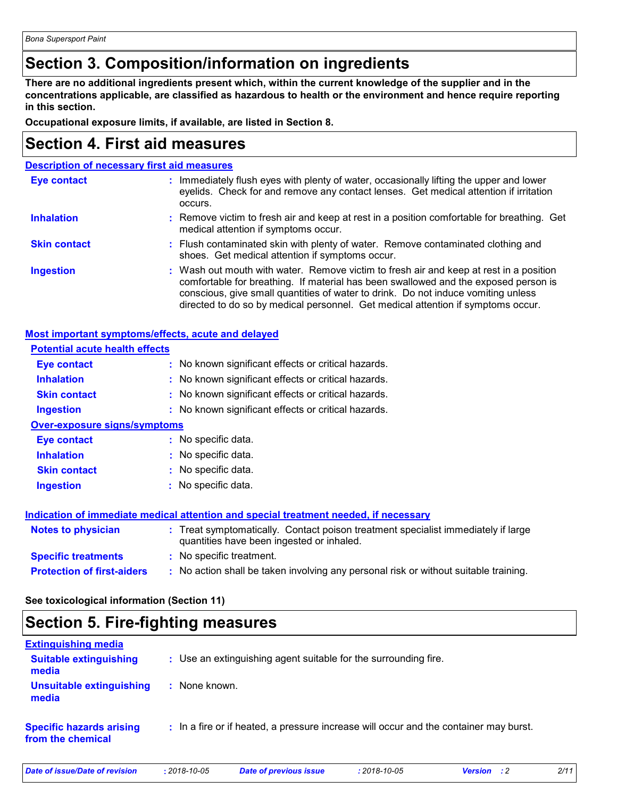### **Section 3. Composition/information on ingredients**

**There are no additional ingredients present which, within the current knowledge of the supplier and in the concentrations applicable, are classified as hazardous to health or the environment and hence require reporting in this section.**

**Occupational exposure limits, if available, are listed in Section 8.**

### **Section 4. First aid measures**

| <b>Description of necessary first aid measures</b> |                                                                                                                                                                                                                                                                                                                                                        |
|----------------------------------------------------|--------------------------------------------------------------------------------------------------------------------------------------------------------------------------------------------------------------------------------------------------------------------------------------------------------------------------------------------------------|
| <b>Eye contact</b>                                 | : Immediately flush eyes with plenty of water, occasionally lifting the upper and lower<br>eyelids. Check for and remove any contact lenses. Get medical attention if irritation<br>occurs.                                                                                                                                                            |
| <b>Inhalation</b>                                  | : Remove victim to fresh air and keep at rest in a position comfortable for breathing. Get<br>medical attention if symptoms occur.                                                                                                                                                                                                                     |
| <b>Skin contact</b>                                | : Flush contaminated skin with plenty of water. Remove contaminated clothing and<br>shoes. Get medical attention if symptoms occur.                                                                                                                                                                                                                    |
| <b>Ingestion</b>                                   | : Wash out mouth with water. Remove victim to fresh air and keep at rest in a position<br>comfortable for breathing. If material has been swallowed and the exposed person is<br>conscious, give small quantities of water to drink. Do not induce vomiting unless<br>directed to do so by medical personnel. Get medical attention if symptoms occur. |

**Most important symptoms/effects, acute and delayed**

| <b>Potential acute health effects</b> |                                                                                                                                |  |
|---------------------------------------|--------------------------------------------------------------------------------------------------------------------------------|--|
| <b>Eye contact</b>                    | : No known significant effects or critical hazards.                                                                            |  |
| <b>Inhalation</b>                     | : No known significant effects or critical hazards.                                                                            |  |
| <b>Skin contact</b>                   | : No known significant effects or critical hazards.                                                                            |  |
| <b>Ingestion</b>                      | : No known significant effects or critical hazards.                                                                            |  |
| <b>Over-exposure signs/symptoms</b>   |                                                                                                                                |  |
| Eye contact                           | : No specific data.                                                                                                            |  |
| <b>Inhalation</b>                     | : No specific data.                                                                                                            |  |
| <b>Skin contact</b>                   | : No specific data.                                                                                                            |  |
| <b>Ingestion</b>                      | : No specific data.                                                                                                            |  |
|                                       | Indication of immediate medical attention and special treatment needed, if necessary                                           |  |
| <b>Notes to physician</b>             | : Treat symptomatically. Contact poison treatment specialist immediately if large<br>quantities have been ingested or inhaled. |  |
| <b>Specific treatments</b>            | : No specific treatment.                                                                                                       |  |
| <b>Protection of first-aiders</b>     | : No action shall be taken involving any personal risk or without suitable training.                                           |  |

**See toxicological information (Section 11)**

### **Section 5. Fire-fighting measures**

| <b>Extinguishing media</b>                           |                                                                                       |
|------------------------------------------------------|---------------------------------------------------------------------------------------|
| <b>Suitable extinguishing</b><br>media               | : Use an extinguishing agent suitable for the surrounding fire.                       |
| <b>Unsuitable extinguishing</b><br>media             | : None known.                                                                         |
| <b>Specific hazards arising</b><br>from the chemical | : In a fire or if heated, a pressure increase will occur and the container may burst. |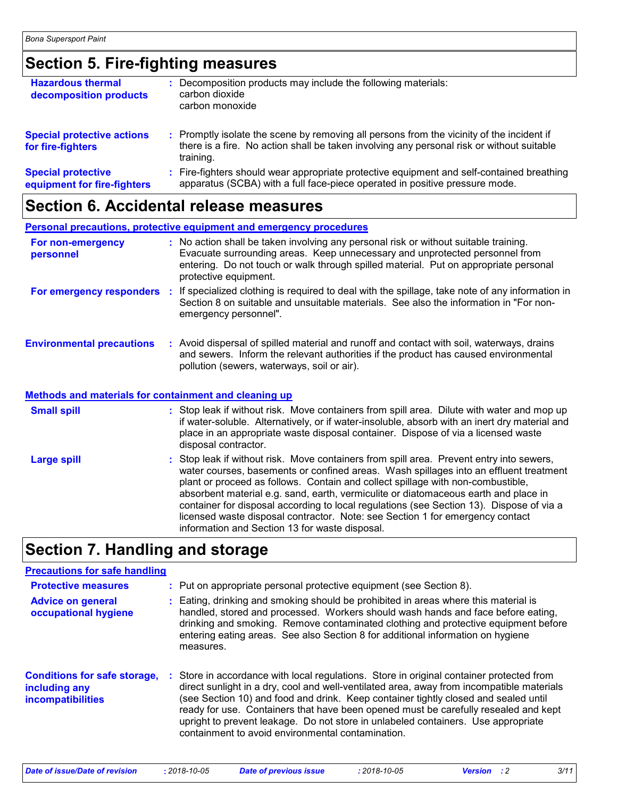### **Section 5. Fire-fighting measures**

| <b>Hazardous thermal</b><br>decomposition products       | : Decomposition products may include the following materials:<br>carbon dioxide<br>carbon monoxide                                                                                                  |
|----------------------------------------------------------|-----------------------------------------------------------------------------------------------------------------------------------------------------------------------------------------------------|
| <b>Special protective actions</b><br>for fire-fighters   | : Promptly isolate the scene by removing all persons from the vicinity of the incident if<br>there is a fire. No action shall be taken involving any personal risk or without suitable<br>training. |
| <b>Special protective</b><br>equipment for fire-fighters | : Fire-fighters should wear appropriate protective equipment and self-contained breathing<br>apparatus (SCBA) with a full face-piece operated in positive pressure mode.                            |

### **Section 6. Accidental release measures**

|                                  | Personal precautions, protective equipment and emergency procedures                                                                                                                                                                                                                  |
|----------------------------------|--------------------------------------------------------------------------------------------------------------------------------------------------------------------------------------------------------------------------------------------------------------------------------------|
| For non-emergency<br>personnel   | : No action shall be taken involving any personal risk or without suitable training.<br>Evacuate surrounding areas. Keep unnecessary and unprotected personnel from<br>entering. Do not touch or walk through spilled material. Put on appropriate personal<br>protective equipment. |
| For emergency responders         | : If specialized clothing is required to deal with the spillage, take note of any information in<br>Section 8 on suitable and unsuitable materials. See also the information in "For non-<br>emergency personnel".                                                                   |
| <b>Environmental precautions</b> | : Avoid dispersal of spilled material and runoff and contact with soil, waterways, drains<br>and sewers. Inform the relevant authorities if the product has caused environmental<br>pollution (sewers, waterways, soil or air).                                                      |
|                                  |                                                                                                                                                                                                                                                                                      |

#### **Methods and materials for containment and cleaning up**

| <b>Small spill</b> | : Stop leak if without risk. Move containers from spill area. Dilute with water and mop up<br>if water-soluble. Alternatively, or if water-insoluble, absorb with an inert dry material and<br>place in an appropriate waste disposal container. Dispose of via a licensed waste<br>disposal contractor.                                                                                                                                                                                                                                                                                   |
|--------------------|--------------------------------------------------------------------------------------------------------------------------------------------------------------------------------------------------------------------------------------------------------------------------------------------------------------------------------------------------------------------------------------------------------------------------------------------------------------------------------------------------------------------------------------------------------------------------------------------|
| <b>Large spill</b> | : Stop leak if without risk. Move containers from spill area. Prevent entry into sewers,<br>water courses, basements or confined areas. Wash spillages into an effluent treatment<br>plant or proceed as follows. Contain and collect spillage with non-combustible,<br>absorbent material e.g. sand, earth, vermiculite or diatomaceous earth and place in<br>container for disposal according to local regulations (see Section 13). Dispose of via a<br>licensed waste disposal contractor. Note: see Section 1 for emergency contact<br>information and Section 13 for waste disposal. |

### **Section 7. Handling and storage**

### **Precautions for safe handling**

| <b>Protective measures</b><br><b>Advice on general</b><br>occupational hygiene   | : Put on appropriate personal protective equipment (see Section 8).<br>: Eating, drinking and smoking should be prohibited in areas where this material is<br>handled, stored and processed. Workers should wash hands and face before eating,<br>drinking and smoking. Remove contaminated clothing and protective equipment before<br>entering eating areas. See also Section 8 for additional information on hygiene<br>measures.                                                                          |
|----------------------------------------------------------------------------------|---------------------------------------------------------------------------------------------------------------------------------------------------------------------------------------------------------------------------------------------------------------------------------------------------------------------------------------------------------------------------------------------------------------------------------------------------------------------------------------------------------------|
| <b>Conditions for safe storage,</b><br>including any<br><b>incompatibilities</b> | : Store in accordance with local regulations. Store in original container protected from<br>direct sunlight in a dry, cool and well-ventilated area, away from incompatible materials<br>(see Section 10) and food and drink. Keep container tightly closed and sealed until<br>ready for use. Containers that have been opened must be carefully resealed and kept<br>upright to prevent leakage. Do not store in unlabeled containers. Use appropriate<br>containment to avoid environmental contamination. |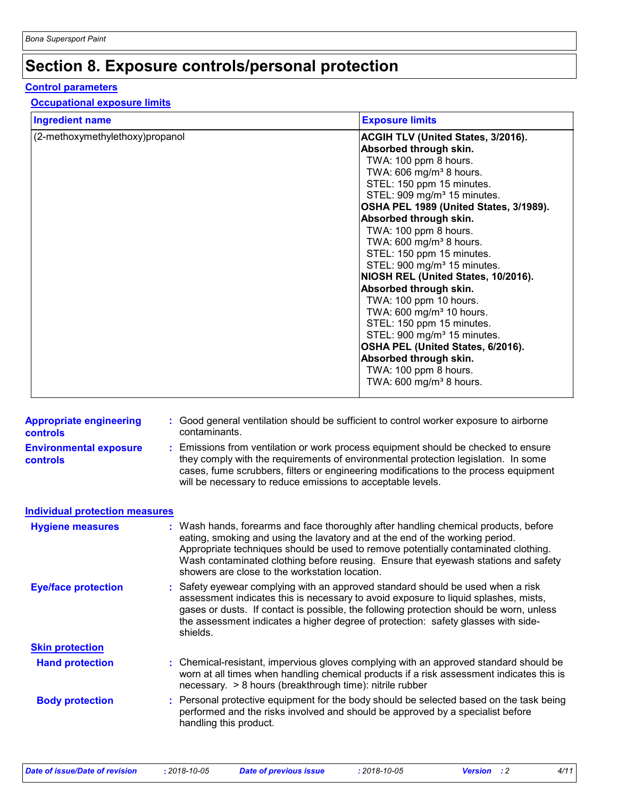### **Section 8. Exposure controls/personal protection**

#### **Control parameters**

#### **Occupational exposure limits**

| <b>Ingredient name</b>          | <b>Exposure limits</b>                    |
|---------------------------------|-------------------------------------------|
| (2-methoxymethylethoxy)propanol | <b>ACGIH TLV (United States, 3/2016).</b> |
|                                 | Absorbed through skin.                    |
|                                 | TWA: 100 ppm 8 hours.                     |
|                                 | TWA: 606 mg/m <sup>3</sup> 8 hours.       |
|                                 | STEL: 150 ppm 15 minutes.                 |
|                                 | STEL: 909 mg/m <sup>3</sup> 15 minutes.   |
|                                 | OSHA PEL 1989 (United States, 3/1989).    |
|                                 | Absorbed through skin.                    |
|                                 | TWA: 100 ppm 8 hours.                     |
|                                 | TWA: 600 mg/m <sup>3</sup> 8 hours.       |
|                                 | STEL: 150 ppm 15 minutes.                 |
|                                 | STEL: 900 mg/m <sup>3</sup> 15 minutes.   |
|                                 | NIOSH REL (United States, 10/2016).       |
|                                 | Absorbed through skin.                    |
|                                 | TWA: 100 ppm 10 hours.                    |
|                                 | TWA: 600 mg/m <sup>3</sup> 10 hours.      |
|                                 | STEL: 150 ppm 15 minutes.                 |
|                                 | STEL: 900 mg/m <sup>3</sup> 15 minutes.   |
|                                 | OSHA PEL (United States, 6/2016).         |
|                                 | Absorbed through skin.                    |
|                                 | TWA: 100 ppm 8 hours.                     |
|                                 | TWA: 600 mg/m <sup>3</sup> 8 hours.       |
|                                 |                                           |

| <b>Appropriate engineering</b><br><b>controls</b> | : Good general ventilation should be sufficient to control worker exposure to airborne<br>contaminants.                                                                                                                                                                                                                                                                                           |
|---------------------------------------------------|---------------------------------------------------------------------------------------------------------------------------------------------------------------------------------------------------------------------------------------------------------------------------------------------------------------------------------------------------------------------------------------------------|
| <b>Environmental exposure</b><br>controls         | : Emissions from ventilation or work process equipment should be checked to ensure<br>they comply with the requirements of environmental protection legislation. In some<br>cases, fume scrubbers, filters or engineering modifications to the process equipment<br>will be necessary to reduce emissions to acceptable levels.                                                                   |
| <b>Individual protection measures</b>             |                                                                                                                                                                                                                                                                                                                                                                                                   |
| <b>Hygiene measures</b>                           | : Wash hands, forearms and face thoroughly after handling chemical products, before<br>eating, smoking and using the lavatory and at the end of the working period.<br>Appropriate techniques should be used to remove potentially contaminated clothing.<br>Wash contaminated clothing before reusing. Ensure that eyewash stations and safety<br>showers are close to the workstation location. |
| <b>Eye/face protection</b>                        | : Safety eyewear complying with an approved standard should be used when a risk<br>assessment indicates this is necessary to avoid exposure to liquid splashes, mists,<br>gases or dusts. If contact is possible, the following protection should be worn, unless<br>the assessment indicates a higher degree of protection: safety glasses with side-<br>shields.                                |
| <b>Skin protection</b>                            |                                                                                                                                                                                                                                                                                                                                                                                                   |
| <b>Hand protection</b>                            | : Chemical-resistant, impervious gloves complying with an approved standard should be<br>worn at all times when handling chemical products if a risk assessment indicates this is<br>necessary. > 8 hours (breakthrough time): nitrile rubber                                                                                                                                                     |
| <b>Body protection</b>                            | : Personal protective equipment for the body should be selected based on the task being<br>performed and the risks involved and should be approved by a specialist before<br>handling this product.                                                                                                                                                                                               |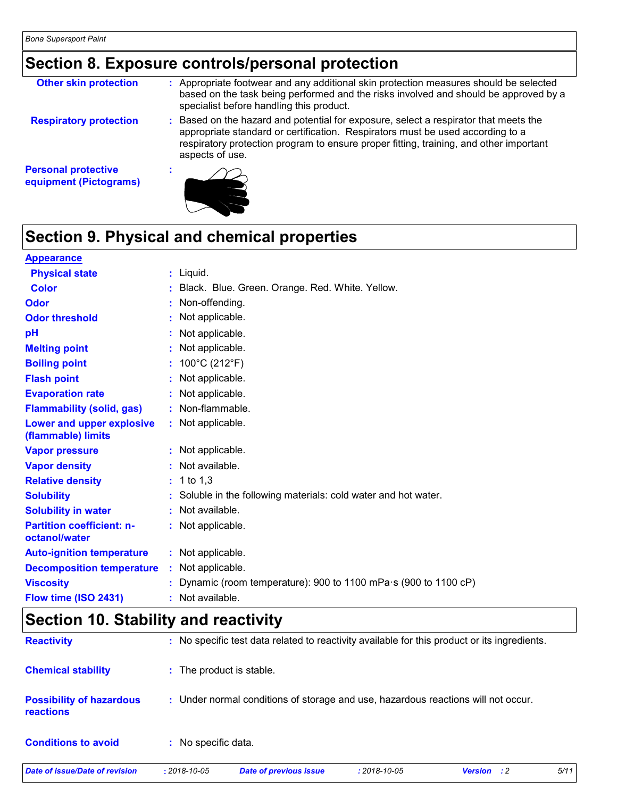### **Section 8. Exposure controls/personal protection**

| <b>Other skin protection</b>                         | : Appropriate footwear and any additional skin protection measures should be selected<br>based on the task being performed and the risks involved and should be approved by a<br>specialist before handling this product.                                                           |
|------------------------------------------------------|-------------------------------------------------------------------------------------------------------------------------------------------------------------------------------------------------------------------------------------------------------------------------------------|
| <b>Respiratory protection</b>                        | : Based on the hazard and potential for exposure, select a respirator that meets the<br>appropriate standard or certification. Respirators must be used according to a<br>respiratory protection program to ensure proper fitting, training, and other important<br>aspects of use. |
| <b>Personal protective</b><br>equipment (Pictograms) |                                                                                                                                                                                                                                                                                     |

## **Section 9. Physical and chemical properties**

| <b>Appearance</b>                                 |                                                                          |
|---------------------------------------------------|--------------------------------------------------------------------------|
| <b>Physical state</b>                             | $:$ Liquid.                                                              |
| <b>Color</b>                                      | : Black. Blue. Green. Orange. Red. White. Yellow.                        |
| Odor                                              | : Non-offending.                                                         |
| <b>Odor threshold</b>                             | : Not applicable.                                                        |
| pH                                                | : Not applicable.                                                        |
| <b>Melting point</b>                              | : Not applicable.                                                        |
| <b>Boiling point</b>                              | : $100^{\circ}$ C (212 $^{\circ}$ F)                                     |
| <b>Flash point</b>                                | : Not applicable.                                                        |
| <b>Evaporation rate</b>                           | : Not applicable.                                                        |
| <b>Flammability (solid, gas)</b>                  | : Non-flammable.                                                         |
| Lower and upper explosive<br>(flammable) limits   | : Not applicable.                                                        |
| <b>Vapor pressure</b>                             | : Not applicable.                                                        |
| <b>Vapor density</b>                              | : Not available.                                                         |
| <b>Relative density</b>                           | $: 1$ to 1,3                                                             |
| <b>Solubility</b>                                 | : Soluble in the following materials: cold water and hot water.          |
| <b>Solubility in water</b>                        | : Not available.                                                         |
| <b>Partition coefficient: n-</b><br>octanol/water | : Not applicable.                                                        |
| <b>Auto-ignition temperature</b>                  | : Not applicable.                                                        |
| <b>Decomposition temperature</b>                  | : Not applicable.                                                        |
| <b>Viscosity</b>                                  | : Dynamic (room temperature): 900 to 1100 mPa $\cdot$ s (900 to 1100 cP) |
| Flow time (ISO 2431)                              | : Not available.                                                         |

## **Section 10. Stability and reactivity**

| Date of issue/Date of revision                      | $: 2018 - 10 - 05$       | <b>Date of previous issue</b>                                                                | $: 2018 - 10 - 05$ | <b>Version</b> : 2 | 5/11 |
|-----------------------------------------------------|--------------------------|----------------------------------------------------------------------------------------------|--------------------|--------------------|------|
| <b>Conditions to avoid</b>                          | : No specific data.      |                                                                                              |                    |                    |      |
| <b>Possibility of hazardous</b><br><b>reactions</b> |                          | : Under normal conditions of storage and use, hazardous reactions will not occur.            |                    |                    |      |
| <b>Chemical stability</b>                           | : The product is stable. |                                                                                              |                    |                    |      |
| <b>Reactivity</b>                                   |                          | : No specific test data related to reactivity available for this product or its ingredients. |                    |                    |      |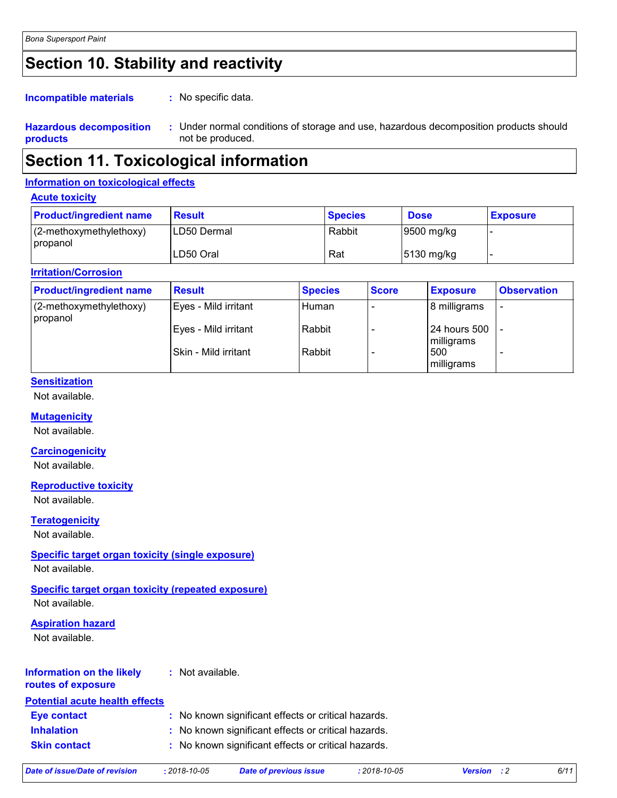### **Section 10. Stability and reactivity**

#### : No specific data. **Incompatible materials :**

**Hazardous decomposition products** Under normal conditions of storage and use, hazardous decomposition products should **:** not be produced.

### **Section 11. Toxicological information**

### **Information on toxicological effects**

**Acute toxicity**

| <b>Product/ingredient name</b>      | <b>Result</b> | <b>Species</b> | <b>Dose</b>            | <b>Exposure</b> |
|-------------------------------------|---------------|----------------|------------------------|-----------------|
| (2-methoxymethylethoxy)<br>propanol | ILD50 Dermal  | Rabbit         | 9500 mg/kg             |                 |
|                                     | LD50 Oral     | Rat            | $ 5130 \text{ mg/kg} $ |                 |

#### **Irritation/Corrosion**

| <b>Product/ingredient name</b>      | <b>Result</b>        | <b>Species</b> | <b>Score</b> | <b>Exposure</b>            | <b>Observation</b>       |
|-------------------------------------|----------------------|----------------|--------------|----------------------------|--------------------------|
| (2-methoxymethylethoxy)<br>propanol | Eyes - Mild irritant | Human          |              | 8 milligrams               | $\overline{\phantom{0}}$ |
|                                     | Eyes - Mild irritant | Rabbit         |              | 24 hours 500<br>milligrams |                          |
|                                     | Skin - Mild irritant | Rabbit         |              | 500<br>milligrams          |                          |

### **Sensitization**

Not available.

### **Mutagenicity**

Not available.

### **Carcinogenicity**

Not available.

#### **Reproductive toxicity**

Not available.

**Teratogenicity**

Not available.

### **Specific target organ toxicity (single exposure)**

Not available.

### **Specific target organ toxicity (repeated exposure)**

Not available.

### **Aspiration hazard**

Not available.

#### **Information on the likely routes of exposure :** Not available.

| <b>Potential acute health effects</b> |                                                     |
|---------------------------------------|-----------------------------------------------------|
| <b>Eve contact</b>                    | : No known significant effects or critical hazards. |
| <b>Inhalation</b>                     | : No known significant effects or critical hazards. |
| <b>Skin contact</b>                   | : No known significant effects or critical hazards. |
|                                       |                                                     |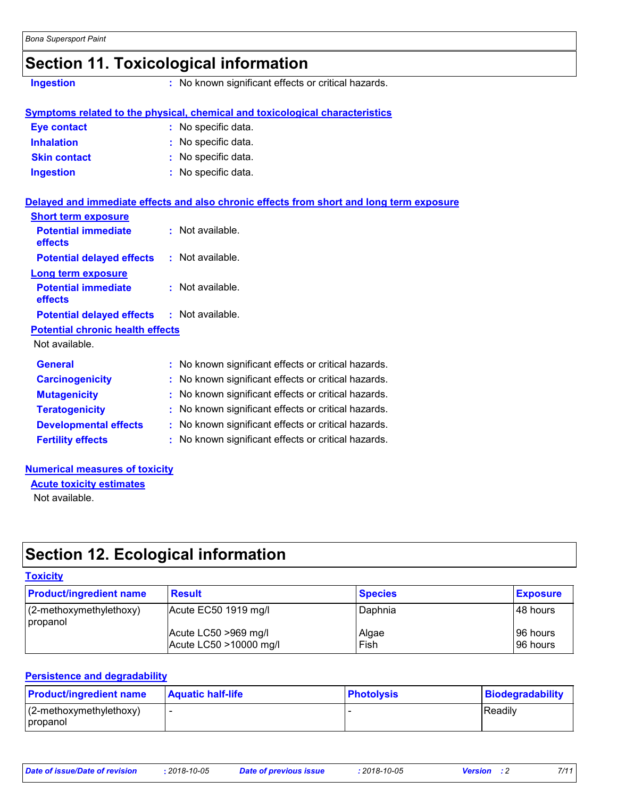### **Section 11. Toxicological information**

**Ingestion :** No known significant effects or critical hazards.

|                     | Symptoms related to the physical, chemical and toxicological characteristics |
|---------------------|------------------------------------------------------------------------------|
| Eye contact         | : No specific data.                                                          |
| <b>Inhalation</b>   | : No specific data.                                                          |
| <b>Skin contact</b> | : No specific data.                                                          |
| <b>Ingestion</b>    | : No specific data.                                                          |

|                                                   | Delayed and immediate effects and also chronic effects from short and long term exposure |
|---------------------------------------------------|------------------------------------------------------------------------------------------|
| <b>Short term exposure</b>                        |                                                                                          |
| <b>Potential immediate</b><br><b>effects</b>      | $:$ Not available.                                                                       |
| <b>Potential delayed effects</b>                  | : Not available.                                                                         |
| Long term exposure                                |                                                                                          |
| <b>Potential immediate</b><br>effects             | $:$ Not available.                                                                       |
| <b>Potential delayed effects : Not available.</b> |                                                                                          |
| <b>Potential chronic health effects</b>           |                                                                                          |
| Not available.                                    |                                                                                          |
| <b>General</b>                                    | : No known significant effects or critical hazards.                                      |
| <b>Carcinogenicity</b>                            | : No known significant effects or critical hazards.                                      |
| <b>Mutagenicity</b>                               | : No known significant effects or critical hazards.                                      |
| <b>Teratogenicity</b>                             | : No known significant effects or critical hazards.                                      |
| <b>Developmental effects</b>                      | : No known significant effects or critical hazards.                                      |
| <b>Fertility effects</b>                          | : No known significant effects or critical hazards.                                      |

#### **Numerical measures of toxicity**

**Acute toxicity estimates**

Not available.

### **Section 12. Ecological information**

#### **Toxicity**

| <b>Product/ingredient name</b>         | <b>Result</b>                                  | <b>Species</b> | <b>Exposure</b>      |
|----------------------------------------|------------------------------------------------|----------------|----------------------|
| $(2$ -methoxymethylethoxy)<br>propanol | Acute EC50 1919 mg/l                           | Daphnia        | 148 hours            |
|                                        | Acute LC50 >969 mg/l<br>Acute LC50 >10000 mg/l | Algae<br>Fish  | 96 hours<br>96 hours |

### **Persistence and degradability**

| <b>Product/ingredient name</b>         | <b>Aquatic half-life</b> | <b>Photolysis</b> | Biodegradability |
|----------------------------------------|--------------------------|-------------------|------------------|
| $(2$ -methoxymethylethoxy)<br>propanol |                          |                   | Readily          |

| Date of issue/Date of revision | 2018-10-05 | <b>Date of previous issue</b> | 2018-10-05 | <b>Version</b> : 2 |  |
|--------------------------------|------------|-------------------------------|------------|--------------------|--|
|--------------------------------|------------|-------------------------------|------------|--------------------|--|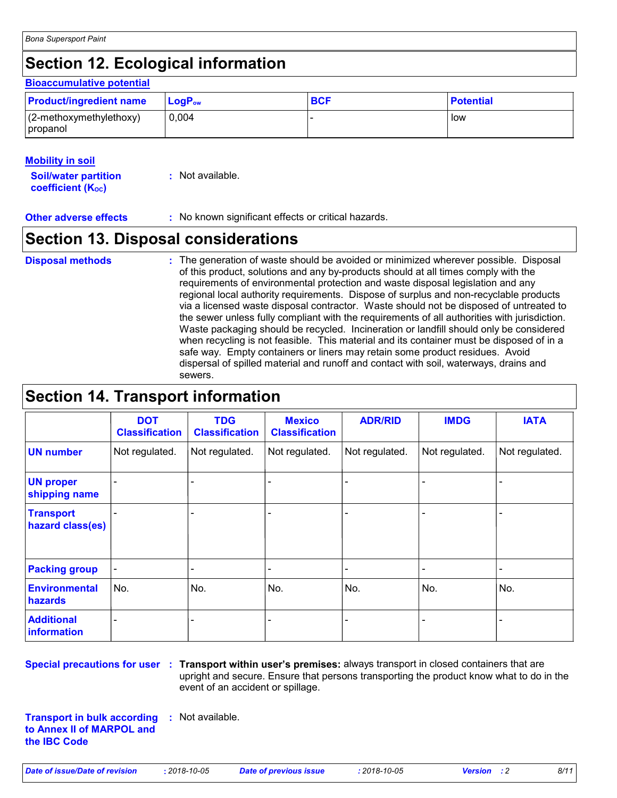### **Section 12. Ecological information**

#### **LogP**<sub>ow</sub> **BCF BCF Potential Bioaccumulative potential Product/ingredient name** (2-methoxymethylethoxy) propanol 0,004 |- low

### **Mobility in soil**

**Soil/water partition coefficient (KOC)**

**:** Not available.

**Other adverse effects : No known significant effects or critical hazards.** 

### **Section 13. Disposal considerations**

- **Disposal methods :**
- The generation of waste should be avoided or minimized wherever possible. Disposal of this product, solutions and any by-products should at all times comply with the requirements of environmental protection and waste disposal legislation and any regional local authority requirements. Dispose of surplus and non-recyclable products via a licensed waste disposal contractor. Waste should not be disposed of untreated to the sewer unless fully compliant with the requirements of all authorities with jurisdiction. Waste packaging should be recycled. Incineration or landfill should only be considered when recycling is not feasible. This material and its container must be disposed of in a safe way. Empty containers or liners may retain some product residues. Avoid dispersal of spilled material and runoff and contact with soil, waterways, drains and sewers.

### **Section 14. Transport information**

|                                      | <b>DOT</b><br><b>Classification</b> | <b>TDG</b><br><b>Classification</b> | <b>Mexico</b><br><b>Classification</b> | <b>ADR/RID</b> | <b>IMDG</b>              | <b>IATA</b>    |
|--------------------------------------|-------------------------------------|-------------------------------------|----------------------------------------|----------------|--------------------------|----------------|
| <b>UN number</b>                     | Not regulated.                      | Not regulated.                      | Not regulated.                         | Not regulated. | Not regulated.           | Not regulated. |
| <b>UN proper</b><br>shipping name    |                                     |                                     |                                        |                |                          |                |
| <b>Transport</b><br>hazard class(es) |                                     |                                     |                                        |                | $\overline{\phantom{0}}$ |                |
| <b>Packing group</b>                 | $\overline{\phantom{a}}$            |                                     |                                        |                | $\overline{\phantom{a}}$ |                |
| <b>Environmental</b><br>hazards      | No.                                 | No.                                 | No.                                    | No.            | No.                      | No.            |
| <b>Additional</b><br>information     |                                     |                                     |                                        |                | -                        |                |

**Special precautions for user** : Transport within user's premises: always transport in closed containers that are upright and secure. Ensure that persons transporting the product know what to do in the event of an accident or spillage.

**Transport in bulk according :** Not available. **to Annex II of MARPOL and the IBC Code**

*Date of issue/Date of revision* **:** *2018-10-05 Date of previous issue : 2018-10-05 Version : 2 8/11*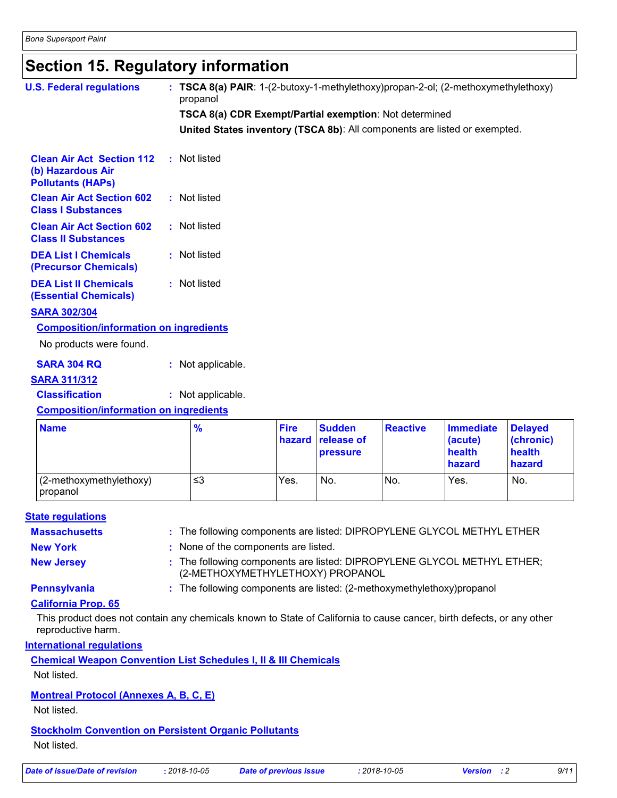### **Section 15. Regulatory information**

| <b>U.S. Federal regulations</b>                                                   | : TSCA 8(a) PAIR: 1-(2-butoxy-1-methylethoxy)propan-2-ol; (2-methoxymethylethoxy)<br>propanol |                       |                                         |                 |                                                 |                                                 |  |
|-----------------------------------------------------------------------------------|-----------------------------------------------------------------------------------------------|-----------------------|-----------------------------------------|-----------------|-------------------------------------------------|-------------------------------------------------|--|
|                                                                                   | TSCA 8(a) CDR Exempt/Partial exemption: Not determined                                        |                       |                                         |                 |                                                 |                                                 |  |
|                                                                                   | United States inventory (TSCA 8b): All components are listed or exempted.                     |                       |                                         |                 |                                                 |                                                 |  |
|                                                                                   |                                                                                               |                       |                                         |                 |                                                 |                                                 |  |
| <b>Clean Air Act Section 112</b><br>(b) Hazardous Air<br><b>Pollutants (HAPs)</b> | : Not listed                                                                                  |                       |                                         |                 |                                                 |                                                 |  |
| <b>Clean Air Act Section 602</b><br><b>Class I Substances</b>                     | : Not listed                                                                                  |                       |                                         |                 |                                                 |                                                 |  |
| <b>Clean Air Act Section 602</b><br><b>Class II Substances</b>                    | : Not listed                                                                                  |                       |                                         |                 |                                                 |                                                 |  |
| <b>DEA List I Chemicals</b><br>(Precursor Chemicals)                              | : Not listed                                                                                  |                       |                                         |                 |                                                 |                                                 |  |
| <b>DEA List II Chemicals</b><br><b>(Essential Chemicals)</b>                      | : Not listed                                                                                  |                       |                                         |                 |                                                 |                                                 |  |
| <b>SARA 302/304</b>                                                               |                                                                                               |                       |                                         |                 |                                                 |                                                 |  |
| <b>Composition/information on ingredients</b>                                     |                                                                                               |                       |                                         |                 |                                                 |                                                 |  |
| No products were found.                                                           |                                                                                               |                       |                                         |                 |                                                 |                                                 |  |
| <b>SARA 304 RQ</b>                                                                | : Not applicable.                                                                             |                       |                                         |                 |                                                 |                                                 |  |
| <b>SARA 311/312</b>                                                               |                                                                                               |                       |                                         |                 |                                                 |                                                 |  |
| <b>Classification</b>                                                             | : Not applicable.                                                                             |                       |                                         |                 |                                                 |                                                 |  |
| <b>Composition/information on ingredients</b>                                     |                                                                                               |                       |                                         |                 |                                                 |                                                 |  |
| <b>Name</b>                                                                       | $\frac{9}{6}$                                                                                 | <b>Fire</b><br>hazard | <b>Sudden</b><br>release of<br>pressure | <b>Reactive</b> | <b>Immediate</b><br>(acute)<br>health<br>hazard | <b>Delayed</b><br>(chronic)<br>health<br>hazard |  |
| (2-methoxymethylethoxy)<br>propanol                                               | $\leq$ 3                                                                                      | Yes.                  | No.                                     | No.             | Yes.                                            | No.                                             |  |

#### **State regulations**

| <b>Massachusetts</b> | : The following components are listed: DIPROPYLENE GLYCOL METHYL ETHER                                      |
|----------------------|-------------------------------------------------------------------------------------------------------------|
| <b>New York</b>      | : None of the components are listed.                                                                        |
| <b>New Jersey</b>    | : The following components are listed: DIPROPYLENE GLYCOL METHYL ETHER;<br>(2-METHOXYMETHYLETHOXY) PROPANOL |

**Pennsylvania** : The following components are listed: (2-methoxymethylethoxy)propanol

#### **California Prop. 65**

This product does not contain any chemicals known to State of California to cause cancer, birth defects, or any other reproductive harm.

#### **International regulations**

**Chemical Weapon Convention List Schedules I, II & III Chemicals**

Not listed.

### **Montreal Protocol (Annexes A, B, C, E)**

Not listed.

#### **Stockholm Convention on Persistent Organic Pollutants**

Not listed.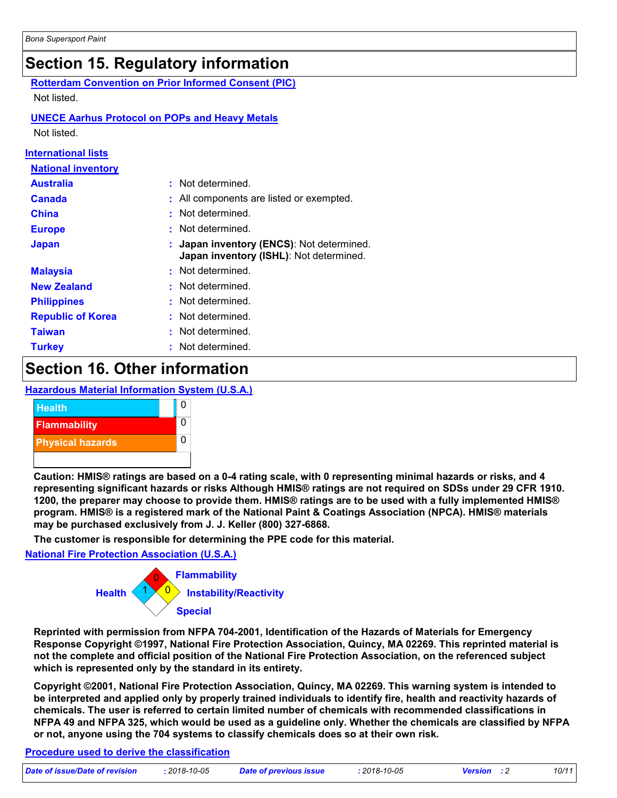### **Section 15. Regulatory information**

**Rotterdam Convention on Prior Informed Consent (PIC)** Not listed.

#### **UNECE Aarhus Protocol on POPs and Heavy Metals** Not listed.

**International lists**

| <b>National inventory</b> |                                                                                      |
|---------------------------|--------------------------------------------------------------------------------------|
| <b>Australia</b>          | : Not determined.                                                                    |
| <b>Canada</b>             | : All components are listed or exempted.                                             |
| <b>China</b>              | Not determined.                                                                      |
| <b>Europe</b>             | Not determined.                                                                      |
| <b>Japan</b>              | : Japan inventory (ENCS): Not determined.<br>Japan inventory (ISHL): Not determined. |
| <b>Malaysia</b>           | : Not determined.                                                                    |
| <b>New Zealand</b>        | Not determined.                                                                      |
| <b>Philippines</b>        | Not determined.                                                                      |
| <b>Republic of Korea</b>  | : Not determined.                                                                    |
| <b>Taiwan</b>             | : Not determined.                                                                    |
| <b>Turkey</b>             | : Not determined.                                                                    |

### **Section 16. Other information**

#### **Hazardous Material Information System (U.S.A.)**



**Caution: HMIS® ratings are based on a 0-4 rating scale, with 0 representing minimal hazards or risks, and 4 representing significant hazards or risks Although HMIS® ratings are not required on SDSs under 29 CFR 1910. 1200, the preparer may choose to provide them. HMIS® ratings are to be used with a fully implemented HMIS® program. HMIS® is a registered mark of the National Paint & Coatings Association (NPCA). HMIS® materials may be purchased exclusively from J. J. Keller (800) 327-6868.**

**The customer is responsible for determining the PPE code for this material.**

#### **National Fire Protection Association (U.S.A.)**



**Reprinted with permission from NFPA 704-2001, Identification of the Hazards of Materials for Emergency Response Copyright ©1997, National Fire Protection Association, Quincy, MA 02269. This reprinted material is not the complete and official position of the National Fire Protection Association, on the referenced subject which is represented only by the standard in its entirety.**

**Copyright ©2001, National Fire Protection Association, Quincy, MA 02269. This warning system is intended to be interpreted and applied only by properly trained individuals to identify fire, health and reactivity hazards of chemicals. The user is referred to certain limited number of chemicals with recommended classifications in NFPA 49 and NFPA 325, which would be used as a guideline only. Whether the chemicals are classified by NFPA or not, anyone using the 704 systems to classify chemicals does so at their own risk.**

#### **Procedure used to derive the classification**

| Date of issue/Date of revision | . 2018-10-05 | Date of previous issue | 2018-10-05 <mark>:</mark> | <b>Version</b> : 2 | 10/11 |
|--------------------------------|--------------|------------------------|---------------------------|--------------------|-------|
|                                |              |                        |                           |                    |       |